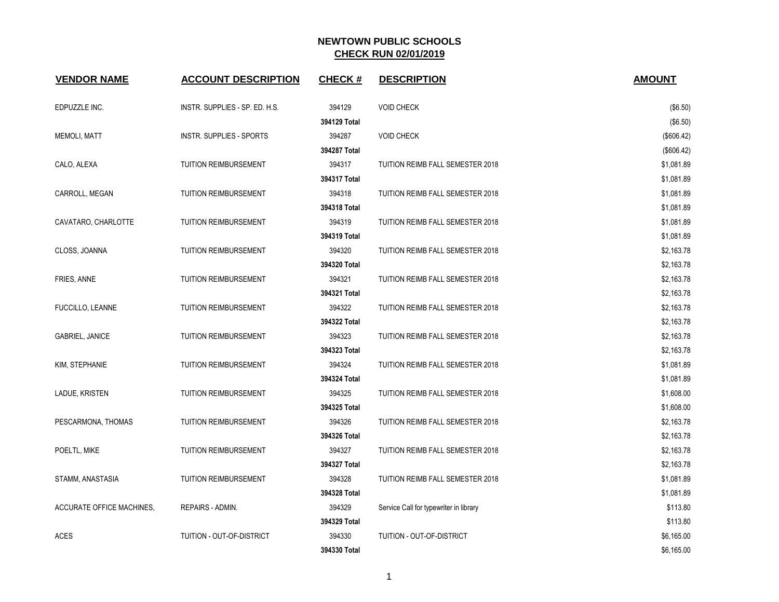| <b>VENDOR NAME</b>        | <b>ACCOUNT DESCRIPTION</b>     | <b>CHECK#</b>          | <b>DESCRIPTION</b>                     | <b>AMOUNT</b>            |
|---------------------------|--------------------------------|------------------------|----------------------------------------|--------------------------|
| EDPUZZLE INC.             | INSTR. SUPPLIES - SP. ED. H.S. | 394129                 | <b>VOID CHECK</b>                      | (\$6.50)                 |
|                           |                                | 394129 Total           |                                        | (\$6.50)                 |
| <b>MEMOLI, MATT</b>       | INSTR. SUPPLIES - SPORTS       | 394287                 | <b>VOID CHECK</b>                      | (\$606.42)               |
|                           |                                | 394287 Total           |                                        |                          |
|                           | <b>TUITION REIMBURSEMENT</b>   | 394317                 | TUITION REIMB FALL SEMESTER 2018       | (\$606.42)               |
| CALO, ALEXA               |                                | 394317 Total           |                                        | \$1,081.89<br>\$1,081.89 |
| CARROLL, MEGAN            | <b>TUITION REIMBURSEMENT</b>   | 394318                 | TUITION REIMB FALL SEMESTER 2018       | \$1,081.89               |
|                           |                                | 394318 Total           |                                        | \$1,081.89               |
| CAVATARO, CHARLOTTE       | <b>TUITION REIMBURSEMENT</b>   | 394319                 | TUITION REIMB FALL SEMESTER 2018       | \$1,081.89               |
|                           |                                | 394319 Total           |                                        | \$1,081.89               |
|                           |                                | 394320                 |                                        | \$2,163.78               |
| CLOSS, JOANNA             | <b>TUITION REIMBURSEMENT</b>   |                        | TUITION REIMB FALL SEMESTER 2018       |                          |
|                           |                                | 394320 Total<br>394321 |                                        | \$2,163.78<br>\$2,163.78 |
| FRIES, ANNE               | <b>TUITION REIMBURSEMENT</b>   | 394321 Total           | TUITION REIMB FALL SEMESTER 2018       | \$2,163.78               |
| FUCCILLO, LEANNE          | <b>TUITION REIMBURSEMENT</b>   | 394322                 | TUITION REIMB FALL SEMESTER 2018       | \$2,163.78               |
|                           |                                | 394322 Total           |                                        | \$2,163.78               |
|                           | <b>TUITION REIMBURSEMENT</b>   | 394323                 | TUITION REIMB FALL SEMESTER 2018       |                          |
| <b>GABRIEL, JANICE</b>    |                                | 394323 Total           |                                        | \$2,163.78<br>\$2,163.78 |
| KIM, STEPHANIE            | <b>TUITION REIMBURSEMENT</b>   | 394324                 | TUITION REIMB FALL SEMESTER 2018       | \$1,081.89               |
|                           |                                | 394324 Total           |                                        | \$1,081.89               |
| LADUE, KRISTEN            | <b>TUITION REIMBURSEMENT</b>   | 394325                 | TUITION REIMB FALL SEMESTER 2018       | \$1,608.00               |
|                           |                                | 394325 Total           |                                        | \$1,608.00               |
| PESCARMONA, THOMAS        | TUITION REIMBURSEMENT          | 394326                 | TUITION REIMB FALL SEMESTER 2018       | \$2,163.78               |
|                           |                                | 394326 Total           |                                        | \$2,163.78               |
| POELTL, MIKE              | <b>TUITION REIMBURSEMENT</b>   | 394327                 | TUITION REIMB FALL SEMESTER 2018       | \$2,163.78               |
|                           |                                | 394327 Total           |                                        | \$2,163.78               |
|                           | TUITION REIMBURSEMENT          | 394328                 | TUITION REIMB FALL SEMESTER 2018       | \$1,081.89               |
| STAMM, ANASTASIA          |                                | 394328 Total           |                                        | \$1,081.89               |
|                           | <b>REPAIRS - ADMIN.</b>        | 394329                 |                                        | \$113.80                 |
| ACCURATE OFFICE MACHINES, |                                |                        | Service Call for typewriter in library |                          |
| <b>ACES</b>               | TUITION - OUT-OF-DISTRICT      | 394329 Total<br>394330 | TUITION - OUT-OF-DISTRICT              | \$113.80                 |
|                           |                                | 394330 Total           |                                        | \$6,165.00<br>\$6,165.00 |
|                           |                                |                        |                                        |                          |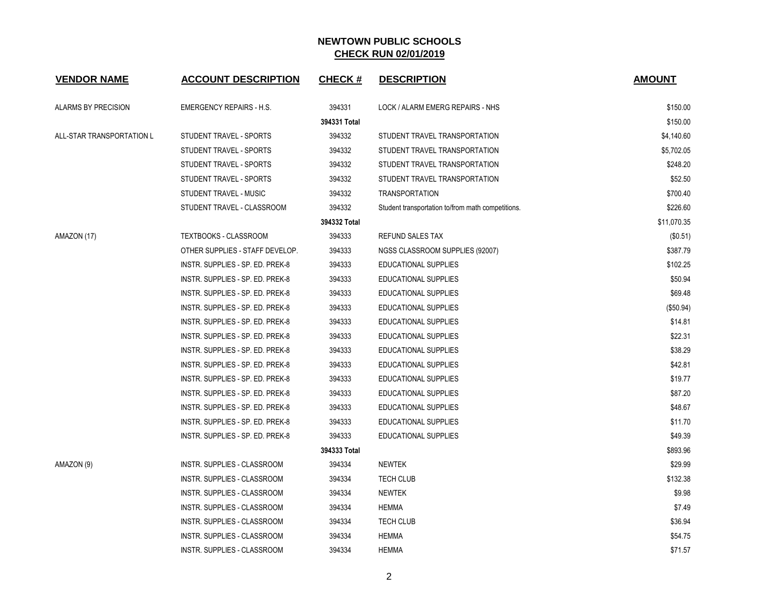| <b>VENDOR NAME</b>        | <b>ACCOUNT DESCRIPTION</b>       | <b>CHECK#</b> | <b>DESCRIPTION</b>                                | <b>AMOUNT</b> |
|---------------------------|----------------------------------|---------------|---------------------------------------------------|---------------|
| ALARMS BY PRECISION       | <b>EMERGENCY REPAIRS - H.S.</b>  | 394331        | LOCK / ALARM EMERG REPAIRS - NHS                  | \$150.00      |
|                           |                                  | 394331 Total  |                                                   | \$150.00      |
| ALL-STAR TRANSPORTATION L | STUDENT TRAVEL - SPORTS          | 394332        | STUDENT TRAVEL TRANSPORTATION                     | \$4,140.60    |
|                           | STUDENT TRAVEL - SPORTS          | 394332        | STUDENT TRAVEL TRANSPORTATION                     | \$5,702.05    |
|                           | STUDENT TRAVEL - SPORTS          | 394332        | STUDENT TRAVEL TRANSPORTATION                     | \$248.20      |
|                           | STUDENT TRAVEL - SPORTS          | 394332        | STUDENT TRAVEL TRANSPORTATION                     | \$52.50       |
|                           | STUDENT TRAVEL - MUSIC           | 394332        | <b>TRANSPORTATION</b>                             | \$700.40      |
|                           | STUDENT TRAVEL - CLASSROOM       | 394332        | Student transportation to/from math competitions. | \$226.60      |
|                           |                                  | 394332 Total  |                                                   | \$11,070.35   |
| AMAZON (17)               | TEXTBOOKS - CLASSROOM            | 394333        | <b>REFUND SALES TAX</b>                           | (\$0.51)      |
|                           | OTHER SUPPLIES - STAFF DEVELOP.  | 394333        | NGSS CLASSROOM SUPPLIES (92007)                   | \$387.79      |
|                           | INSTR. SUPPLIES - SP. ED. PREK-8 | 394333        | EDUCATIONAL SUPPLIES                              | \$102.25      |
|                           | INSTR. SUPPLIES - SP. ED. PREK-8 | 394333        | EDUCATIONAL SUPPLIES                              | \$50.94       |
|                           | INSTR. SUPPLIES - SP. ED. PREK-8 | 394333        | EDUCATIONAL SUPPLIES                              | \$69.48       |
|                           | INSTR. SUPPLIES - SP. ED. PREK-8 | 394333        | <b>EDUCATIONAL SUPPLIES</b>                       | (\$50.94)     |
|                           | INSTR. SUPPLIES - SP. ED. PREK-8 | 394333        | EDUCATIONAL SUPPLIES                              | \$14.81       |
|                           | INSTR. SUPPLIES - SP. ED. PREK-8 | 394333        | <b>EDUCATIONAL SUPPLIES</b>                       | \$22.31       |
|                           | INSTR. SUPPLIES - SP. ED. PREK-8 | 394333        | EDUCATIONAL SUPPLIES                              | \$38.29       |
|                           | INSTR. SUPPLIES - SP. ED. PREK-8 | 394333        | EDUCATIONAL SUPPLIES                              | \$42.81       |
|                           | INSTR. SUPPLIES - SP. ED. PREK-8 | 394333        | <b>EDUCATIONAL SUPPLIES</b>                       | \$19.77       |
|                           | INSTR. SUPPLIES - SP. ED. PREK-8 | 394333        | <b>EDUCATIONAL SUPPLIES</b>                       | \$87.20       |
|                           | INSTR. SUPPLIES - SP. ED. PREK-8 | 394333        | EDUCATIONAL SUPPLIES                              | \$48.67       |
|                           | INSTR. SUPPLIES - SP. ED. PREK-8 | 394333        | EDUCATIONAL SUPPLIES                              | \$11.70       |
|                           | INSTR. SUPPLIES - SP. ED. PREK-8 | 394333        | EDUCATIONAL SUPPLIES                              | \$49.39       |
|                           |                                  | 394333 Total  |                                                   | \$893.96      |
| AMAZON (9)                | INSTR. SUPPLIES - CLASSROOM      | 394334        | <b>NEWTEK</b>                                     | \$29.99       |
|                           | INSTR. SUPPLIES - CLASSROOM      | 394334        | <b>TECH CLUB</b>                                  | \$132.38      |
|                           | INSTR. SUPPLIES - CLASSROOM      | 394334        | <b>NEWTEK</b>                                     | \$9.98        |
|                           | INSTR. SUPPLIES - CLASSROOM      | 394334        | <b>HEMMA</b>                                      | \$7.49        |
|                           | INSTR. SUPPLIES - CLASSROOM      | 394334        | TECH CLUB                                         | \$36.94       |
|                           | INSTR. SUPPLIES - CLASSROOM      | 394334        | <b>HEMMA</b>                                      | \$54.75       |
|                           | INSTR. SUPPLIES - CLASSROOM      | 394334        | <b>HEMMA</b>                                      | \$71.57       |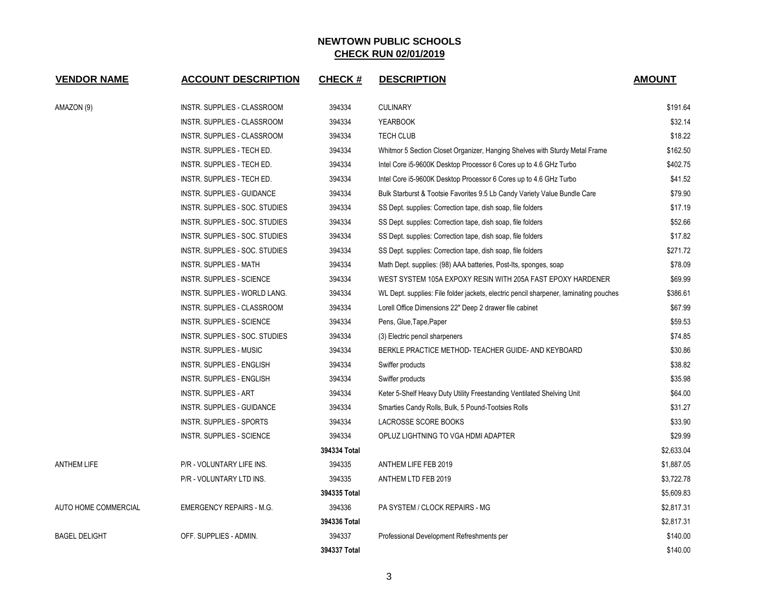| <b>VENDOR NAME</b>   | <b>ACCOUNT DESCRIPTION</b>      | <b>CHECK#</b> | <b>DESCRIPTION</b>                                                                    | <b>AMOUNT</b> |
|----------------------|---------------------------------|---------------|---------------------------------------------------------------------------------------|---------------|
| AMAZON (9)           | INSTR. SUPPLIES - CLASSROOM     | 394334        | <b>CULINARY</b>                                                                       | \$191.64      |
|                      | INSTR. SUPPLIES - CLASSROOM     | 394334        | <b>YEARBOOK</b>                                                                       | \$32.14       |
|                      | INSTR. SUPPLIES - CLASSROOM     | 394334        | <b>TECH CLUB</b>                                                                      | \$18.22       |
|                      | INSTR. SUPPLIES - TECH ED.      | 394334        | Whitmor 5 Section Closet Organizer, Hanging Shelves with Sturdy Metal Frame           | \$162.50      |
|                      | INSTR. SUPPLIES - TECH ED.      | 394334        | Intel Core i5-9600K Desktop Processor 6 Cores up to 4.6 GHz Turbo                     | \$402.75      |
|                      | INSTR. SUPPLIES - TECH ED.      | 394334        | Intel Core i5-9600K Desktop Processor 6 Cores up to 4.6 GHz Turbo                     | \$41.52       |
|                      | INSTR. SUPPLIES - GUIDANCE      | 394334        | Bulk Starburst & Tootsie Favorites 9.5 Lb Candy Variety Value Bundle Care             | \$79.90       |
|                      | INSTR. SUPPLIES - SOC. STUDIES  | 394334        | SS Dept. supplies: Correction tape, dish soap, file folders                           | \$17.19       |
|                      | INSTR. SUPPLIES - SOC. STUDIES  | 394334        | SS Dept. supplies: Correction tape, dish soap, file folders                           | \$52.66       |
|                      | INSTR. SUPPLIES - SOC. STUDIES  | 394334        | SS Dept. supplies: Correction tape, dish soap, file folders                           | \$17.82       |
|                      | INSTR. SUPPLIES - SOC. STUDIES  | 394334        | SS Dept. supplies: Correction tape, dish soap, file folders                           | \$271.72      |
|                      | INSTR. SUPPLIES - MATH          | 394334        | Math Dept. supplies: (98) AAA batteries, Post-Its, sponges, soap                      | \$78.09       |
|                      | INSTR. SUPPLIES - SCIENCE       | 394334        | WEST SYSTEM 105A EXPOXY RESIN WITH 205A FAST EPOXY HARDENER                           | \$69.99       |
|                      | INSTR. SUPPLIES - WORLD LANG.   | 394334        | WL Dept. supplies: File folder jackets, electric pencil sharpener, laminating pouches | \$386.61      |
|                      | INSTR. SUPPLIES - CLASSROOM     | 394334        | Lorell Office Dimensions 22" Deep 2 drawer file cabinet                               | \$67.99       |
|                      | INSTR. SUPPLIES - SCIENCE       | 394334        | Pens, Glue, Tape, Paper                                                               | \$59.53       |
|                      | INSTR. SUPPLIES - SOC. STUDIES  | 394334        | (3) Electric pencil sharpeners                                                        | \$74.85       |
|                      | INSTR. SUPPLIES - MUSIC         | 394334        | BERKLE PRACTICE METHOD- TEACHER GUIDE- AND KEYBOARD                                   | \$30.86       |
|                      | INSTR. SUPPLIES - ENGLISH       | 394334        | Swiffer products                                                                      | \$38.82       |
|                      | INSTR. SUPPLIES - ENGLISH       | 394334        | Swiffer products                                                                      | \$35.98       |
|                      | INSTR. SUPPLIES - ART           | 394334        | Keter 5-Shelf Heavy Duty Utility Freestanding Ventilated Shelving Unit                | \$64.00       |
|                      | INSTR. SUPPLIES - GUIDANCE      | 394334        | Smarties Candy Rolls, Bulk, 5 Pound-Tootsies Rolls                                    | \$31.27       |
|                      | INSTR. SUPPLIES - SPORTS        | 394334        | LACROSSE SCORE BOOKS                                                                  | \$33.90       |
|                      | INSTR. SUPPLIES - SCIENCE       | 394334        | OPLUZ LIGHTNING TO VGA HDMI ADAPTER                                                   | \$29.99       |
|                      |                                 | 394334 Total  |                                                                                       | \$2,633.04    |
| <b>ANTHEM LIFE</b>   | P/R - VOLUNTARY LIFE INS.       | 394335        | ANTHEM LIFE FEB 2019                                                                  | \$1,887.05    |
|                      | P/R - VOLUNTARY LTD INS.        | 394335        | ANTHEM LTD FEB 2019                                                                   | \$3,722.78    |
|                      |                                 | 394335 Total  |                                                                                       | \$5,609.83    |
| AUTO HOME COMMERCIAL | <b>EMERGENCY REPAIRS - M.G.</b> | 394336        | PA SYSTEM / CLOCK REPAIRS - MG                                                        | \$2,817.31    |
|                      |                                 | 394336 Total  |                                                                                       | \$2,817.31    |
| <b>BAGEL DELIGHT</b> | OFF. SUPPLIES - ADMIN.          | 394337        | Professional Development Refreshments per                                             | \$140.00      |
|                      |                                 | 394337 Total  |                                                                                       | \$140.00      |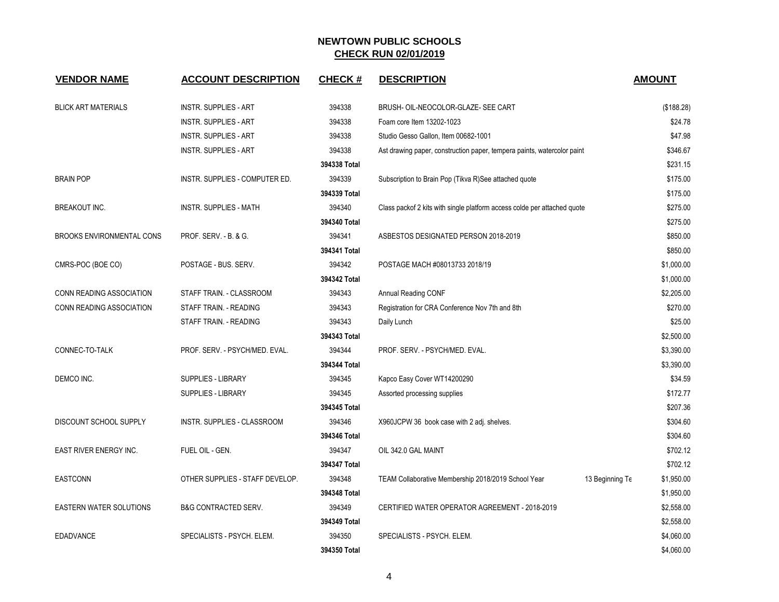| <b>VENDOR NAME</b>               | <b>ACCOUNT DESCRIPTION</b>      | <b>CHECK#</b> | <b>DESCRIPTION</b>                                                       | <b>AMOUNT</b>                 |
|----------------------------------|---------------------------------|---------------|--------------------------------------------------------------------------|-------------------------------|
|                                  |                                 |               |                                                                          |                               |
| <b>BLICK ART MATERIALS</b>       | <b>INSTR. SUPPLIES - ART</b>    | 394338        | BRUSH- OIL-NEOCOLOR-GLAZE- SEE CART                                      | (\$188.28)                    |
|                                  | <b>INSTR. SUPPLIES - ART</b>    | 394338        | Foam core Item 13202-1023                                                | \$24.78                       |
|                                  | <b>INSTR. SUPPLIES - ART</b>    | 394338        | Studio Gesso Gallon, Item 00682-1001                                     | \$47.98                       |
|                                  | <b>INSTR. SUPPLIES - ART</b>    | 394338        | Ast drawing paper, construction paper, tempera paints, watercolor paint  | \$346.67                      |
|                                  |                                 | 394338 Total  |                                                                          | \$231.15                      |
| <b>BRAIN POP</b>                 | INSTR. SUPPLIES - COMPUTER ED.  | 394339        | Subscription to Brain Pop (Tikva R)See attached quote                    | \$175.00                      |
|                                  |                                 | 394339 Total  |                                                                          | \$175.00                      |
| BREAKOUT INC.                    | <b>INSTR. SUPPLIES - MATH</b>   | 394340        | Class packof 2 kits with single platform access colde per attached quote | \$275.00                      |
|                                  |                                 | 394340 Total  |                                                                          | \$275.00                      |
| <b>BROOKS ENVIRONMENTAL CONS</b> | PROF. SERV. - B. & G.           | 394341        | ASBESTOS DESIGNATED PERSON 2018-2019                                     | \$850.00                      |
|                                  |                                 | 394341 Total  |                                                                          | \$850.00                      |
| CMRS-POC (BOE CO)                | POSTAGE - BUS. SERV.            | 394342        | POSTAGE MACH #08013733 2018/19                                           | \$1,000.00                    |
|                                  |                                 | 394342 Total  |                                                                          | \$1,000.00                    |
| CONN READING ASSOCIATION         | STAFF TRAIN. - CLASSROOM        | 394343        | Annual Reading CONF                                                      | \$2,205.00                    |
| <b>CONN READING ASSOCIATION</b>  | STAFF TRAIN. - READING          | 394343        | Registration for CRA Conference Nov 7th and 8th                          | \$270.00                      |
|                                  | STAFF TRAIN. - READING          | 394343        | Daily Lunch                                                              | \$25.00                       |
|                                  |                                 | 394343 Total  |                                                                          | \$2,500.00                    |
| CONNEC-TO-TALK                   | PROF. SERV. - PSYCH/MED. EVAL.  | 394344        | PROF. SERV. - PSYCH/MED. EVAL.                                           | \$3,390.00                    |
|                                  |                                 | 394344 Total  |                                                                          | \$3,390.00                    |
| DEMCO INC.                       | SUPPLIES - LIBRARY              | 394345        | Kapco Easy Cover WT14200290                                              | \$34.59                       |
|                                  | SUPPLIES - LIBRARY              | 394345        | Assorted processing supplies                                             | \$172.77                      |
|                                  |                                 | 394345 Total  |                                                                          | \$207.36                      |
| DISCOUNT SCHOOL SUPPLY           | INSTR. SUPPLIES - CLASSROOM     | 394346        | X960JCPW 36 book case with 2 adj. shelves.                               | \$304.60                      |
|                                  |                                 | 394346 Total  |                                                                          | \$304.60                      |
| EAST RIVER ENERGY INC.           | FUEL OIL - GEN.                 | 394347        | OIL 342.0 GAL MAINT                                                      | \$702.12                      |
|                                  |                                 | 394347 Total  |                                                                          | \$702.12                      |
| <b>EASTCONN</b>                  | OTHER SUPPLIES - STAFF DEVELOP. | 394348        | TEAM Collaborative Membership 2018/2019 School Year                      | 13 Beginning Te<br>\$1,950.00 |
|                                  |                                 | 394348 Total  |                                                                          | \$1,950.00                    |
| <b>EASTERN WATER SOLUTIONS</b>   | <b>B&amp;G CONTRACTED SERV.</b> | 394349        | CERTIFIED WATER OPERATOR AGREEMENT - 2018-2019                           | \$2,558.00                    |
|                                  |                                 | 394349 Total  |                                                                          | \$2,558.00                    |
| <b>EDADVANCE</b>                 | SPECIALISTS - PSYCH. ELEM.      | 394350        | SPECIALISTS - PSYCH. ELEM.                                               | \$4,060.00                    |
|                                  |                                 | 394350 Total  |                                                                          | \$4,060.00                    |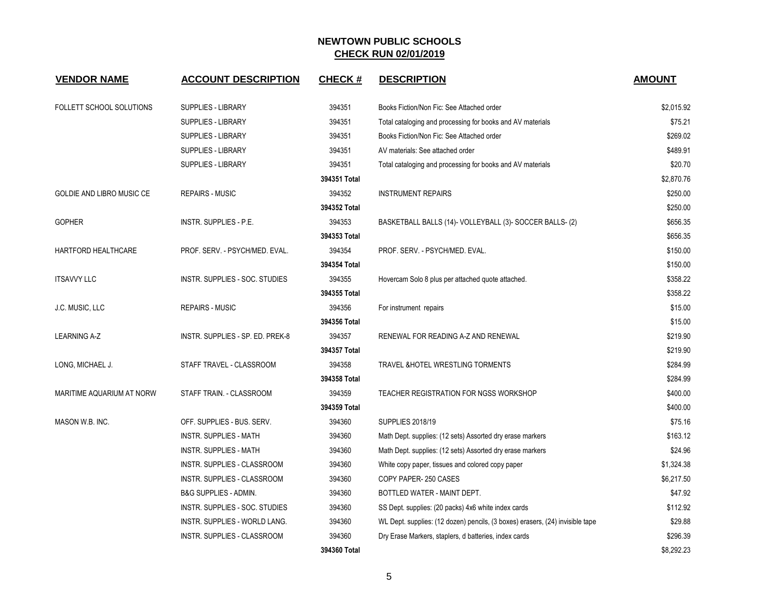| <b>VENDOR NAME</b>              | <b>ACCOUNT DESCRIPTION</b>       | <b>CHECK#</b> | <b>DESCRIPTION</b>                                                            | <b>AMOUNT</b> |
|---------------------------------|----------------------------------|---------------|-------------------------------------------------------------------------------|---------------|
| <b>FOLLETT SCHOOL SOLUTIONS</b> | <b>SUPPLIES - LIBRARY</b>        | 394351        | Books Fiction/Non Fic: See Attached order                                     | \$2.015.92    |
|                                 | <b>SUPPLIES - LIBRARY</b>        | 394351        | Total cataloging and processing for books and AV materials                    | \$75.21       |
|                                 | SUPPLIES - LIBRARY               | 394351        | Books Fiction/Non Fic: See Attached order                                     | \$269.02      |
|                                 | <b>SUPPLIES - LIBRARY</b>        | 394351        | AV materials: See attached order                                              | \$489.91      |
|                                 | SUPPLIES - LIBRARY               | 394351        | Total cataloging and processing for books and AV materials                    | \$20.70       |
|                                 |                                  | 394351 Total  |                                                                               | \$2.870.76    |
| GOLDIE AND LIBRO MUSIC CE       | <b>REPAIRS - MUSIC</b>           | 394352        | <b>INSTRUMENT REPAIRS</b>                                                     | \$250.00      |
|                                 |                                  | 394352 Total  |                                                                               | \$250.00      |
| <b>GOPHER</b>                   | INSTR. SUPPLIES - P.E.           | 394353        | BASKETBALL BALLS (14)- VOLLEYBALL (3)- SOCCER BALLS- (2)                      | \$656.35      |
|                                 |                                  | 394353 Total  |                                                                               | \$656.35      |
| HARTFORD HEALTHCARE             | PROF. SERV. - PSYCH/MED. EVAL.   | 394354        | PROF. SERV. - PSYCH/MED. EVAL.                                                | \$150.00      |
|                                 |                                  | 394354 Total  |                                                                               | \$150.00      |
| <b>ITSAVVY LLC</b>              | INSTR. SUPPLIES - SOC. STUDIES   | 394355        | Hovercam Solo 8 plus per attached quote attached.                             | \$358.22      |
|                                 |                                  | 394355 Total  |                                                                               | \$358.22      |
| J.C. MUSIC, LLC                 | <b>REPAIRS - MUSIC</b>           | 394356        | For instrument repairs                                                        | \$15.00       |
|                                 |                                  | 394356 Total  |                                                                               | \$15.00       |
| <b>LEARNING A-Z</b>             | INSTR. SUPPLIES - SP. ED. PREK-8 | 394357        | RENEWAL FOR READING A-Z AND RENEWAL                                           | \$219.90      |
|                                 |                                  | 394357 Total  |                                                                               | \$219.90      |
| LONG, MICHAEL J.                | STAFF TRAVEL - CLASSROOM         | 394358        | TRAVEL & HOTEL WRESTLING TORMENTS                                             | \$284.99      |
|                                 |                                  | 394358 Total  |                                                                               | \$284.99      |
| MARITIME AQUARIUM AT NORW       | STAFF TRAIN. - CLASSROOM         | 394359        | TEACHER REGISTRATION FOR NGSS WORKSHOP                                        | \$400.00      |
|                                 |                                  | 394359 Total  |                                                                               | \$400.00      |
| MASON W.B. INC.                 | OFF. SUPPLIES - BUS. SERV.       | 394360        | <b>SUPPLIES 2018/19</b>                                                       | \$75.16       |
|                                 | <b>INSTR. SUPPLIES - MATH</b>    | 394360        | Math Dept. supplies: (12 sets) Assorted dry erase markers                     | \$163.12      |
|                                 | <b>INSTR. SUPPLIES - MATH</b>    | 394360        | Math Dept. supplies: (12 sets) Assorted dry erase markers                     | \$24.96       |
|                                 | INSTR. SUPPLIES - CLASSROOM      | 394360        | White copy paper, tissues and colored copy paper                              | \$1,324.38    |
|                                 | INSTR. SUPPLIES - CLASSROOM      | 394360        | COPY PAPER-250 CASES                                                          | \$6,217.50    |
|                                 | <b>B&amp;G SUPPLIES - ADMIN.</b> | 394360        | BOTTLED WATER - MAINT DEPT.                                                   | \$47.92       |
|                                 | INSTR. SUPPLIES - SOC. STUDIES   | 394360        | SS Dept. supplies: (20 packs) 4x6 white index cards                           | \$112.92      |
|                                 | INSTR. SUPPLIES - WORLD LANG.    | 394360        | WL Dept. supplies: (12 dozen) pencils, (3 boxes) erasers, (24) invisible tape | \$29.88       |
|                                 | INSTR. SUPPLIES - CLASSROOM      | 394360        | Dry Erase Markers, staplers, d batteries, index cards                         | \$296.39      |
|                                 |                                  | 394360 Total  |                                                                               | \$8,292.23    |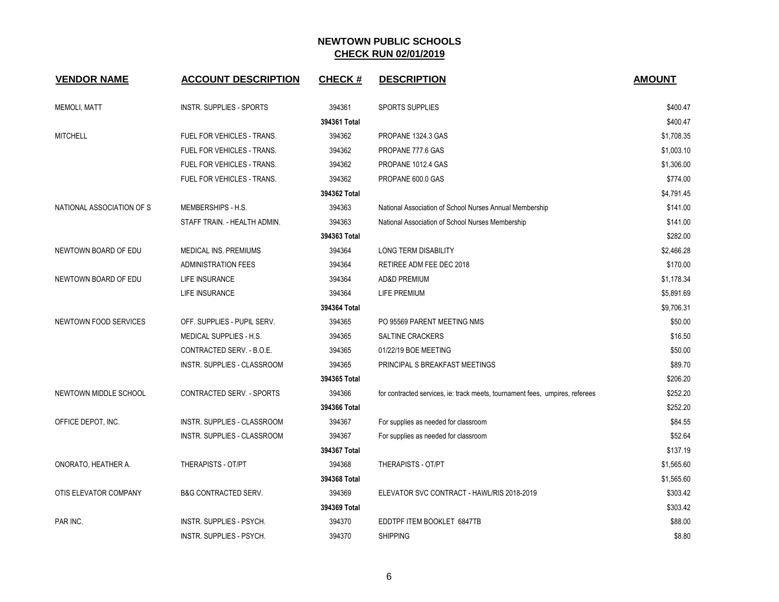| <b>VENDOR NAME</b>        | <b>ACCOUNT DESCRIPTION</b>      | <b>CHECK#</b> | <b>DESCRIPTION</b>                                                           | <b>AMOUNT</b> |
|---------------------------|---------------------------------|---------------|------------------------------------------------------------------------------|---------------|
| <b>MEMOLI, MATT</b>       | <b>INSTR. SUPPLIES - SPORTS</b> | 394361        | <b>SPORTS SUPPLIES</b>                                                       | \$400.47      |
|                           |                                 | 394361 Total  |                                                                              | \$400.47      |
| <b>MITCHELL</b>           | FUEL FOR VEHICLES - TRANS.      | 394362        | PROPANE 1324.3 GAS                                                           | \$1,708.35    |
|                           | FUEL FOR VEHICLES - TRANS.      | 394362        | PROPANE 777.6 GAS                                                            | \$1,003.10    |
|                           | FUEL FOR VEHICLES - TRANS.      | 394362        | PROPANE 1012.4 GAS                                                           | \$1,306.00    |
|                           | FUEL FOR VEHICLES - TRANS.      | 394362        | PROPANE 600.0 GAS                                                            | \$774.00      |
|                           |                                 | 394362 Total  |                                                                              | \$4,791.45    |
| NATIONAL ASSOCIATION OF S | MEMBERSHIPS - H.S.              | 394363        | National Association of School Nurses Annual Membership                      | \$141.00      |
|                           | STAFF TRAIN. - HEALTH ADMIN.    | 394363        | National Association of School Nurses Membership                             | \$141.00      |
|                           |                                 | 394363 Total  |                                                                              | \$282.00      |
| NEWTOWN BOARD OF EDU      | <b>MEDICAL INS. PREMIUMS</b>    | 394364        | <b>LONG TERM DISABILITY</b>                                                  | \$2,466.28    |
|                           | <b>ADMINISTRATION FEES</b>      | 394364        | RETIREE ADM FEE DEC 2018                                                     | \$170.00      |
| NEWTOWN BOARD OF EDU      | LIFE INSURANCE                  | 394364        | <b>AD&amp;D PREMIUM</b>                                                      | \$1,178.34    |
|                           | LIFE INSURANCE                  | 394364        | LIFE PREMIUM                                                                 | \$5,891.69    |
|                           |                                 | 394364 Total  |                                                                              | \$9,706.31    |
| NEWTOWN FOOD SERVICES     | OFF. SUPPLIES - PUPIL SERV.     | 394365        | PO 95569 PARENT MEETING NMS                                                  | \$50.00       |
|                           | <b>MEDICAL SUPPLIES - H.S.</b>  | 394365        | <b>SALTINE CRACKERS</b>                                                      | \$16.50       |
|                           | CONTRACTED SERV. - B.O.E.       | 394365        | 01/22/19 BOE MEETING                                                         | \$50.00       |
|                           | INSTR. SUPPLIES - CLASSROOM     | 394365        | PRINCIPAL S BREAKFAST MEETINGS                                               | \$89.70       |
|                           |                                 | 394365 Total  |                                                                              | \$206.20      |
| NEWTOWN MIDDLE SCHOOL     | CONTRACTED SERV. - SPORTS       | 394366        | for contracted services, ie: track meets, tournament fees, umpires, referees | \$252.20      |
|                           |                                 | 394366 Total  |                                                                              | \$252.20      |
| OFFICE DEPOT, INC.        | INSTR. SUPPLIES - CLASSROOM     | 394367        | For supplies as needed for classroom                                         | \$84.55       |
|                           | INSTR. SUPPLIES - CLASSROOM     | 394367        | For supplies as needed for classroom                                         | \$52.64       |
|                           |                                 | 394367 Total  |                                                                              | \$137.19      |
| ONORATO, HEATHER A.       | THERAPISTS - OT/PT              | 394368        | THERAPISTS - OT/PT                                                           | \$1,565.60    |
|                           |                                 | 394368 Total  |                                                                              | \$1,565.60    |
| OTIS ELEVATOR COMPANY     | <b>B&amp;G CONTRACTED SERV.</b> | 394369        | ELEVATOR SVC CONTRACT - HAWL/RIS 2018-2019                                   | \$303.42      |
|                           |                                 | 394369 Total  |                                                                              | \$303.42      |
| PAR INC.                  | INSTR. SUPPLIES - PSYCH.        | 394370        | EDDTPF ITEM BOOKLET 6847TB                                                   | \$88.00       |
|                           | <b>INSTR. SUPPLIES - PSYCH.</b> | 394370        | <b>SHIPPING</b>                                                              | \$8.80        |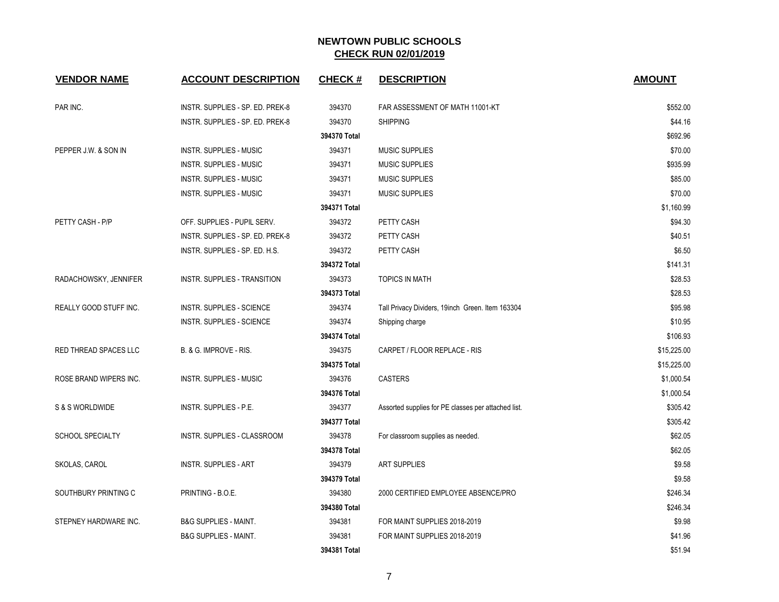| <b>VENDOR NAME</b>      | <b>ACCOUNT DESCRIPTION</b>       | <b>CHECK#</b> | <b>DESCRIPTION</b>                                  | <b>AMOUNT</b> |
|-------------------------|----------------------------------|---------------|-----------------------------------------------------|---------------|
| PAR INC.                | INSTR. SUPPLIES - SP. ED. PREK-8 | 394370        | FAR ASSESSMENT OF MATH 11001-KT                     | \$552.00      |
|                         | INSTR. SUPPLIES - SP. ED. PREK-8 | 394370        | <b>SHIPPING</b>                                     | \$44.16       |
|                         |                                  | 394370 Total  |                                                     | \$692.96      |
| PEPPER J.W. & SON IN    | INSTR. SUPPLIES - MUSIC          | 394371        | <b>MUSIC SUPPLIES</b>                               | \$70.00       |
|                         | <b>INSTR. SUPPLIES - MUSIC</b>   | 394371        | <b>MUSIC SUPPLIES</b>                               | \$935.99      |
|                         | <b>INSTR. SUPPLIES - MUSIC</b>   | 394371        | <b>MUSIC SUPPLIES</b>                               | \$85.00       |
|                         | INSTR. SUPPLIES - MUSIC          | 394371        | <b>MUSIC SUPPLIES</b>                               | \$70.00       |
|                         |                                  | 394371 Total  |                                                     | \$1,160.99    |
| PETTY CASH - P/P        | OFF. SUPPLIES - PUPIL SERV.      | 394372        | PETTY CASH                                          | \$94.30       |
|                         | INSTR. SUPPLIES - SP. ED. PREK-8 | 394372        | PETTY CASH                                          | \$40.51       |
|                         | INSTR. SUPPLIES - SP. ED. H.S.   | 394372        | PETTY CASH                                          | \$6.50        |
|                         |                                  | 394372 Total  |                                                     | \$141.31      |
| RADACHOWSKY, JENNIFER   | INSTR. SUPPLIES - TRANSITION     | 394373        | <b>TOPICS IN MATH</b>                               | \$28.53       |
|                         |                                  | 394373 Total  |                                                     | \$28.53       |
| REALLY GOOD STUFF INC.  | <b>INSTR. SUPPLIES - SCIENCE</b> | 394374        | Tall Privacy Dividers, 19inch Green. Item 163304    | \$95.98       |
|                         | <b>INSTR. SUPPLIES - SCIENCE</b> | 394374        | Shipping charge                                     | \$10.95       |
|                         |                                  | 394374 Total  |                                                     | \$106.93      |
| RED THREAD SPACES LLC   | B. & G. IMPROVE - RIS.           | 394375        | CARPET / FLOOR REPLACE - RIS                        | \$15,225.00   |
|                         |                                  | 394375 Total  |                                                     | \$15,225.00   |
| ROSE BRAND WIPERS INC.  | INSTR. SUPPLIES - MUSIC          | 394376        | <b>CASTERS</b>                                      | \$1,000.54    |
|                         |                                  | 394376 Total  |                                                     | \$1,000.54    |
| S & S WORLDWIDE         | INSTR. SUPPLIES - P.E.           | 394377        | Assorted supplies for PE classes per attached list. | \$305.42      |
|                         |                                  | 394377 Total  |                                                     | \$305.42      |
| <b>SCHOOL SPECIALTY</b> | INSTR. SUPPLIES - CLASSROOM      | 394378        | For classroom supplies as needed.                   | \$62.05       |
|                         |                                  | 394378 Total  |                                                     | \$62.05       |
| SKOLAS, CAROL           | <b>INSTR. SUPPLIES - ART</b>     | 394379        | ART SUPPLIES                                        | \$9.58        |
|                         |                                  | 394379 Total  |                                                     | \$9.58        |
| SOUTHBURY PRINTING C    | PRINTING - B.O.E.                | 394380        | 2000 CERTIFIED EMPLOYEE ABSENCE/PRO                 | \$246.34      |
|                         |                                  | 394380 Total  |                                                     | \$246.34      |
| STEPNEY HARDWARE INC.   | <b>B&amp;G SUPPLIES - MAINT.</b> | 394381        | FOR MAINT SUPPLIES 2018-2019                        | \$9.98        |
|                         | <b>B&amp;G SUPPLIES - MAINT.</b> | 394381        | FOR MAINT SUPPLIES 2018-2019                        | \$41.96       |
|                         |                                  | 394381 Total  |                                                     | \$51.94       |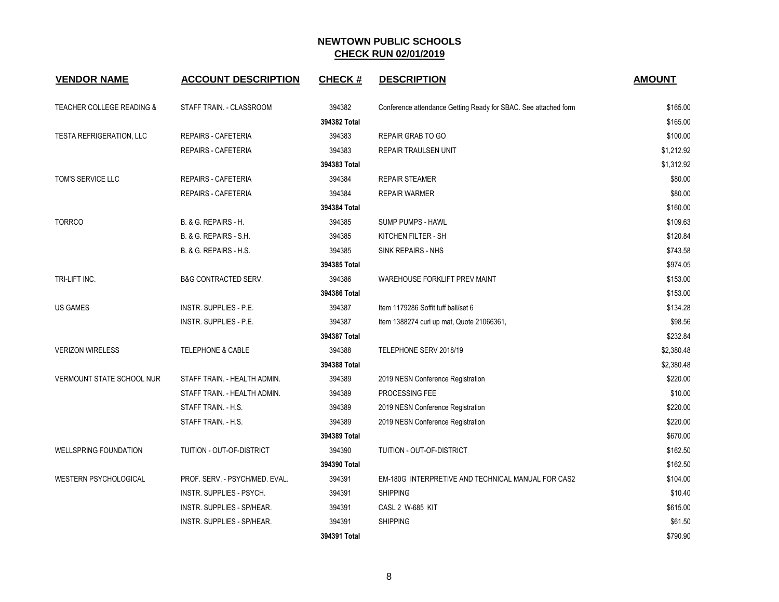| <b>VENDOR NAME</b>                   | <b>ACCOUNT DESCRIPTION</b>     | <b>CHECK#</b> | <b>DESCRIPTION</b>                                              | <b>AMOUNT</b> |
|--------------------------------------|--------------------------------|---------------|-----------------------------------------------------------------|---------------|
| <b>TEACHER COLLEGE READING &amp;</b> | STAFF TRAIN. - CLASSROOM       | 394382        | Conference attendance Getting Ready for SBAC. See attached form | \$165.00      |
|                                      |                                | 394382 Total  |                                                                 | \$165.00      |
| TESTA REFRIGERATION, LLC             | REPAIRS - CAFETERIA            | 394383        | REPAIR GRAB TO GO                                               | \$100.00      |
|                                      | REPAIRS - CAFETERIA            | 394383        | <b>REPAIR TRAULSEN UNIT</b>                                     | \$1,212.92    |
|                                      |                                | 394383 Total  |                                                                 | \$1,312.92    |
| TOM'S SERVICE LLC                    | REPAIRS - CAFETERIA            | 394384        | <b>REPAIR STEAMER</b>                                           | \$80.00       |
|                                      | REPAIRS - CAFETERIA            | 394384        | <b>REPAIR WARMER</b>                                            | \$80.00       |
|                                      |                                | 394384 Total  |                                                                 | \$160.00      |
| <b>TORRCO</b>                        | B. & G. REPAIRS - H.           | 394385        | <b>SUMP PUMPS - HAWL</b>                                        | \$109.63      |
|                                      | B. & G. REPAIRS - S.H.         | 394385        | KITCHEN FILTER - SH                                             | \$120.84      |
|                                      | B. & G. REPAIRS - H.S.         | 394385        | SINK REPAIRS - NHS                                              | \$743.58      |
|                                      |                                | 394385 Total  |                                                                 | \$974.05      |
| TRI-LIFT INC.                        | B&G CONTRACTED SERV.           | 394386        | WAREHOUSE FORKLIFT PREV MAINT                                   | \$153.00      |
|                                      |                                | 394386 Total  |                                                                 | \$153.00      |
| <b>US GAMES</b>                      | INSTR. SUPPLIES - P.E.         | 394387        | Item 1179286 Soffit tuff ball/set 6                             | \$134.28      |
|                                      | INSTR. SUPPLIES - P.E.         | 394387        | Item 1388274 curl up mat, Quote 21066361,                       | \$98.56       |
|                                      |                                | 394387 Total  |                                                                 | \$232.84      |
| <b>VERIZON WIRELESS</b>              | <b>TELEPHONE &amp; CABLE</b>   | 394388        | TELEPHONE SERV 2018/19                                          | \$2,380.48    |
|                                      |                                | 394388 Total  |                                                                 | \$2,380.48    |
| VERMOUNT STATE SCHOOL NUR            | STAFF TRAIN. - HEALTH ADMIN.   | 394389        | 2019 NESN Conference Registration                               | \$220.00      |
|                                      | STAFF TRAIN. - HEALTH ADMIN.   | 394389        | PROCESSING FEE                                                  | \$10.00       |
|                                      | STAFF TRAIN. - H.S.            | 394389        | 2019 NESN Conference Registration                               | \$220.00      |
|                                      | STAFF TRAIN. - H.S.            | 394389        | 2019 NESN Conference Registration                               | \$220.00      |
|                                      |                                | 394389 Total  |                                                                 | \$670.00      |
| <b>WELLSPRING FOUNDATION</b>         | TUITION - OUT-OF-DISTRICT      | 394390        | TUITION - OUT-OF-DISTRICT                                       | \$162.50      |
|                                      |                                | 394390 Total  |                                                                 | \$162.50      |
| <b>WESTERN PSYCHOLOGICAL</b>         | PROF. SERV. - PSYCH/MED. EVAL. | 394391        | EM-180G INTERPRETIVE AND TECHNICAL MANUAL FOR CAS2              | \$104.00      |
|                                      | INSTR. SUPPLIES - PSYCH.       | 394391        | <b>SHIPPING</b>                                                 | \$10.40       |
|                                      | INSTR. SUPPLIES - SP/HEAR.     | 394391        | CASL 2 W-685 KIT                                                | \$615.00      |
|                                      | INSTR. SUPPLIES - SP/HEAR.     | 394391        | <b>SHIPPING</b>                                                 | \$61.50       |
|                                      |                                | 394391 Total  |                                                                 | \$790.90      |